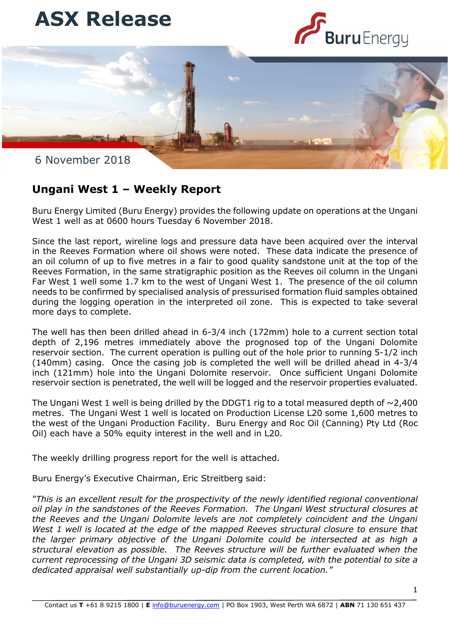





## **Ungani West 1 – Weekly Report**

Buru Energy Limited (Buru Energy) provides the following update on operations at the Ungani West 1 well as at 0600 hours Tuesday 6 November 2018.

during the logging operation in the interpreted oil zone. This is expected to take several Since the last report, wireline logs and pressure data have been acquired over the interval in the Reeves Formation where oil shows were noted. These data indicate the presence of an oil column of up to five metres in a fair to good quality sandstone unit at the top of the Reeves Formation, in the same stratigraphic position as the Reeves oil column in the Ungani Far West 1 well some 1.7 km to the west of Ungani West 1. The presence of the oil column needs to be confirmed by specialised analysis of pressurised formation fluid samples obtained more days to complete.

The well has then been drilled ahead in 6-3/4 inch (172mm) hole to a current section total depth of 2,196 metres immediately above the prognosed top of the Ungani Dolomite reservoir section. The current operation is pulling out of the hole prior to running 5-1/2 inch (140mm) casing. Once the casing job is completed the well will be drilled ahead in 4-3/4 inch (121mm) hole into the Ungani Dolomite reservoir. Once sufficient Ungani Dolomite reservoir section is penetrated, the well will be logged and the reservoir properties evaluated.

The Ungani West 1 well is being drilled by the DDGT1 rig to a total measured depth of  $\sim$ 2.400 metres. The Ungani West 1 well is located on Production License L20 some 1,600 metres to the west of the Ungani Production Facility. Buru Energy and Roc Oil (Canning) Pty Ltd (Roc Oil) each have a 50% equity interest in the well and in L20.

The weekly drilling progress report for the well is attached.

Buru Energy's Executive Chairman, Eric Streitberg said:

*"This is an excellent result for the prospectivity of the newly identified regional conventional oil play in the sandstones of the Reeves Formation. The Ungani West structural closures at the Reeves and the Ungani Dolomite levels are not completely coincident and the Ungani West 1 well is located at the edge of the mapped Reeves structural closure to ensure that the larger primary objective of the Ungani Dolomite could be intersected at as high a structural elevation as possible. The Reeves structure will be further evaluated when the current reprocessing of the Ungani 3D seismic data is completed, with the potential to site a dedicated appraisal well substantially up-dip from the current location."*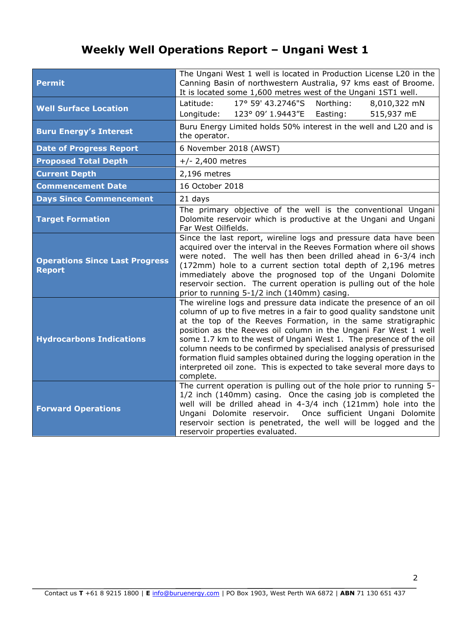## **Weekly Well Operations Report – Ungani West 1**

| <b>Permit</b>                                          | The Ungani West 1 well is located in Production License L20 in the<br>Canning Basin of northwestern Australia, 97 kms east of Broome.<br>It is located some 1,600 metres west of the Ungani 1ST1 well.                                                                                                                                                                                                                                                                                                                                                                                  |
|--------------------------------------------------------|-----------------------------------------------------------------------------------------------------------------------------------------------------------------------------------------------------------------------------------------------------------------------------------------------------------------------------------------------------------------------------------------------------------------------------------------------------------------------------------------------------------------------------------------------------------------------------------------|
| <b>Well Surface Location</b>                           | Latitude:<br>17° 59' 43.2746"S<br>Northing:<br>8,010,322 mN<br>Longitude:<br>Easting:<br>515,937 mE<br>123° 09' 1.9443"E                                                                                                                                                                                                                                                                                                                                                                                                                                                                |
| <b>Buru Energy's Interest</b>                          | Buru Energy Limited holds 50% interest in the well and L20 and is<br>the operator.                                                                                                                                                                                                                                                                                                                                                                                                                                                                                                      |
| <b>Date of Progress Report</b>                         | 6 November 2018 (AWST)                                                                                                                                                                                                                                                                                                                                                                                                                                                                                                                                                                  |
| <b>Proposed Total Depth</b>                            | $+/- 2,400$ metres                                                                                                                                                                                                                                                                                                                                                                                                                                                                                                                                                                      |
| <b>Current Depth</b>                                   | 2,196 metres                                                                                                                                                                                                                                                                                                                                                                                                                                                                                                                                                                            |
| <b>Commencement Date</b>                               | 16 October 2018                                                                                                                                                                                                                                                                                                                                                                                                                                                                                                                                                                         |
| <b>Days Since Commencement</b>                         | 21 days                                                                                                                                                                                                                                                                                                                                                                                                                                                                                                                                                                                 |
| <b>Target Formation</b>                                | The primary objective of the well is the conventional Ungani<br>Dolomite reservoir which is productive at the Ungani and Ungani<br>Far West Oilfields.                                                                                                                                                                                                                                                                                                                                                                                                                                  |
| <b>Operations Since Last Progress</b><br><b>Report</b> | Since the last report, wireline logs and pressure data have been<br>acquired over the interval in the Reeves Formation where oil shows<br>were noted. The well has then been drilled ahead in 6-3/4 inch<br>(172mm) hole to a current section total depth of 2,196 metres<br>immediately above the prognosed top of the Ungani Dolomite<br>reservoir section. The current operation is pulling out of the hole<br>prior to running 5-1/2 inch (140mm) casing.                                                                                                                           |
| <b>Hydrocarbons Indications</b>                        | The wireline logs and pressure data indicate the presence of an oil<br>column of up to five metres in a fair to good quality sandstone unit<br>at the top of the Reeves Formation, in the same stratigraphic<br>position as the Reeves oil column in the Ungani Far West 1 well<br>some 1.7 km to the west of Ungani West 1. The presence of the oil<br>column needs to be confirmed by specialised analysis of pressurised<br>formation fluid samples obtained during the logging operation in the<br>interpreted oil zone. This is expected to take several more days to<br>complete. |
| <b>Forward Operations</b>                              | The current operation is pulling out of the hole prior to running 5-<br>1/2 inch (140mm) casing. Once the casing job is completed the<br>well will be drilled ahead in 4-3/4 inch (121mm) hole into the<br>Ungani Dolomite reservoir. Once sufficient Ungani Dolomite<br>reservoir section is penetrated, the well will be logged and the<br>reservoir properties evaluated.                                                                                                                                                                                                            |